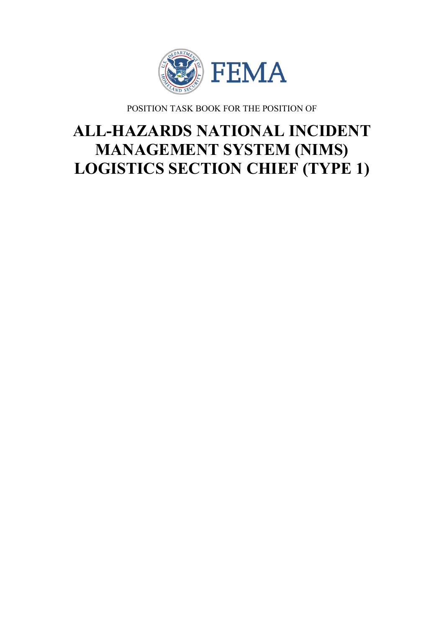

POSITION TASK BOOK FOR THE POSITION OF

# **ALL-HAZARDS NATIONAL INCIDENT MANAGEMENT SYSTEM (NIMS) LOGISTICS SECTION CHIEF (TYPE 1)**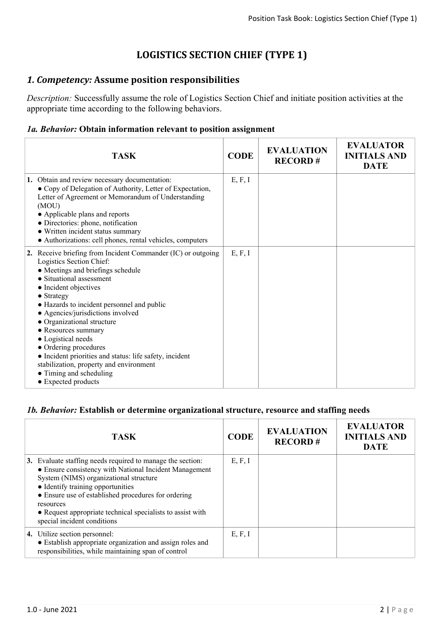# **LOGISTICS SECTION CHIEF (TYPE 1)**

## *1. Competency:* **Assume position responsibilities**

*Description:* Successfully assume the role of Logistics Section Chief and initiate position activities at the appropriate time according to the following behaviors.

### *1a. Behavior:* **Obtain information relevant to position assignment**

| <b>TASK</b>                                                                                                                                                                                                                                                                                                                                                                                                                                                                                                                                             | <b>CODE</b> | <b>EVALUATION</b><br><b>RECORD#</b> | <b>EVALUATOR</b><br><b>INITIALS AND</b><br><b>DATE</b> |
|---------------------------------------------------------------------------------------------------------------------------------------------------------------------------------------------------------------------------------------------------------------------------------------------------------------------------------------------------------------------------------------------------------------------------------------------------------------------------------------------------------------------------------------------------------|-------------|-------------------------------------|--------------------------------------------------------|
| 1. Obtain and review necessary documentation:<br>• Copy of Delegation of Authority, Letter of Expectation,<br>Letter of Agreement or Memorandum of Understanding<br>(MOU)<br>• Applicable plans and reports<br>• Directories: phone, notification<br>• Written incident status summary<br>• Authorizations: cell phones, rental vehicles, computers                                                                                                                                                                                                     | E, F, I     |                                     |                                                        |
| 2. Receive briefing from Incident Commander (IC) or outgoing<br>Logistics Section Chief:<br>• Meetings and briefings schedule<br>• Situational assessment<br>• Incident objectives<br>$\bullet$ Strategy<br>• Hazards to incident personnel and public<br>• Agencies/jurisdictions involved<br>• Organizational structure<br>• Resources summary<br>• Logistical needs<br>• Ordering procedures<br>• Incident priorities and status: life safety, incident<br>stabilization, property and environment<br>• Timing and scheduling<br>• Expected products | E, F, I     |                                     |                                                        |

#### *1b. Behavior:* **Establish or determine organizational structure, resource and staffing needs**

| <b>TASK</b>                                                                                                                                                                                                                                                                                                                                                          | <b>CODE</b> | <b>EVALUATION</b><br><b>RECORD#</b> | <b>EVALUATOR</b><br><b>INITIALS AND</b><br><b>DATE</b> |
|----------------------------------------------------------------------------------------------------------------------------------------------------------------------------------------------------------------------------------------------------------------------------------------------------------------------------------------------------------------------|-------------|-------------------------------------|--------------------------------------------------------|
| 3. Evaluate staffing needs required to manage the section:<br>• Ensure consistency with National Incident Management<br>System (NIMS) organizational structure<br>• Identify training opportunities<br>• Ensure use of established procedures for ordering<br>resources<br>• Request appropriate technical specialists to assist with<br>special incident conditions | E, F, I     |                                     |                                                        |
| 4. Utilize section personnel:<br>• Establish appropriate organization and assign roles and<br>responsibilities, while maintaining span of control                                                                                                                                                                                                                    | E, F, I     |                                     |                                                        |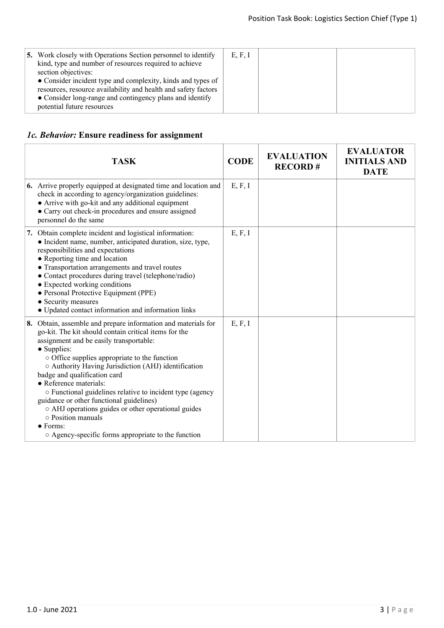| <b>5.</b> Work closely with Operations Section personnel to identify<br>kind, type and number of resources required to achieve<br>section objectives:<br>• Consider incident type and complexity, kinds and types of<br>resources, resource availability and health and safety factors<br>• Consider long-range and contingency plans and identify<br>potential future resources | E, F, I |  |  |
|----------------------------------------------------------------------------------------------------------------------------------------------------------------------------------------------------------------------------------------------------------------------------------------------------------------------------------------------------------------------------------|---------|--|--|
|----------------------------------------------------------------------------------------------------------------------------------------------------------------------------------------------------------------------------------------------------------------------------------------------------------------------------------------------------------------------------------|---------|--|--|

## *1c. Behavior:* **Ensure readiness for assignment**

| <b>TASK</b>                                                                                                                                                                                                                                                                                                                                                                                                                                                                                                                                                                                                                | <b>CODE</b> | <b>EVALUATION</b><br><b>RECORD#</b> | <b>EVALUATOR</b><br><b>INITIALS AND</b><br><b>DATE</b> |
|----------------------------------------------------------------------------------------------------------------------------------------------------------------------------------------------------------------------------------------------------------------------------------------------------------------------------------------------------------------------------------------------------------------------------------------------------------------------------------------------------------------------------------------------------------------------------------------------------------------------------|-------------|-------------------------------------|--------------------------------------------------------|
| <b>6.</b> Arrive properly equipped at designated time and location and<br>check in according to agency/organization guidelines:<br>• Arrive with go-kit and any additional equipment<br>• Carry out check-in procedures and ensure assigned<br>personnel do the same                                                                                                                                                                                                                                                                                                                                                       | E, F, I     |                                     |                                                        |
| 7. Obtain complete incident and logistical information:<br>• Incident name, number, anticipated duration, size, type,<br>responsibilities and expectations<br>• Reporting time and location<br>• Transportation arrangements and travel routes<br>• Contact procedures during travel (telephone/radio)<br>• Expected working conditions<br>• Personal Protective Equipment (PPE)<br>• Security measures<br>• Updated contact information and information links                                                                                                                                                             | E, F, I     |                                     |                                                        |
| 8. Obtain, assemble and prepare information and materials for<br>go-kit. The kit should contain critical items for the<br>assignment and be easily transportable:<br>• Supplies:<br>o Office supplies appropriate to the function<br>O Authority Having Jurisdiction (AHJ) identification<br>badge and qualification card<br>• Reference materials:<br>o Functional guidelines relative to incident type (agency<br>guidance or other functional guidelines)<br>o AHJ operations guides or other operational guides<br>$\circ$ Position manuals<br>$\bullet$ Forms:<br>○ Agency-specific forms appropriate to the function | E, F, I     |                                     |                                                        |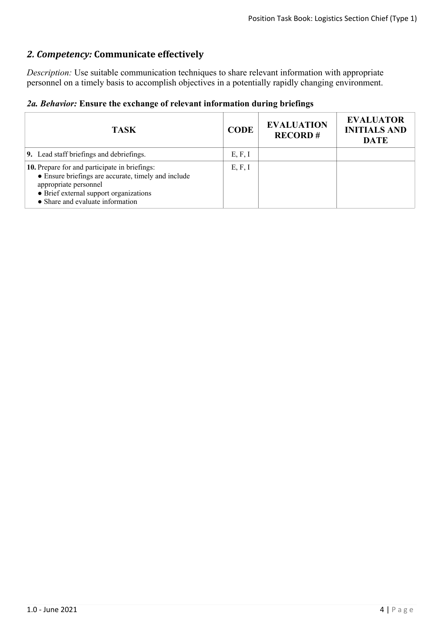## *2. Competency:* **Communicate effectively**

*Description:* Use suitable communication techniques to share relevant information with appropriate personnel on a timely basis to accomplish objectives in a potentially rapidly changing environment.

|  |  |  |  |  | 2a. Behavior: Ensure the exchange of relevant information during briefings |  |  |
|--|--|--|--|--|----------------------------------------------------------------------------|--|--|
|--|--|--|--|--|----------------------------------------------------------------------------|--|--|

| <b>TASK</b>                                                                                                                                                                                                 | <b>CODE</b> | <b>EVALUATION</b><br><b>RECORD#</b> | <b>EVALUATOR</b><br><b>INITIALS AND</b><br><b>DATE</b> |
|-------------------------------------------------------------------------------------------------------------------------------------------------------------------------------------------------------------|-------------|-------------------------------------|--------------------------------------------------------|
| 9. Lead staff briefings and debriefings.                                                                                                                                                                    | E, F, I     |                                     |                                                        |
| 10. Prepare for and participate in briefings:<br>• Ensure briefings are accurate, timely and include<br>appropriate personnel<br>• Brief external support organizations<br>• Share and evaluate information | E, F, I     |                                     |                                                        |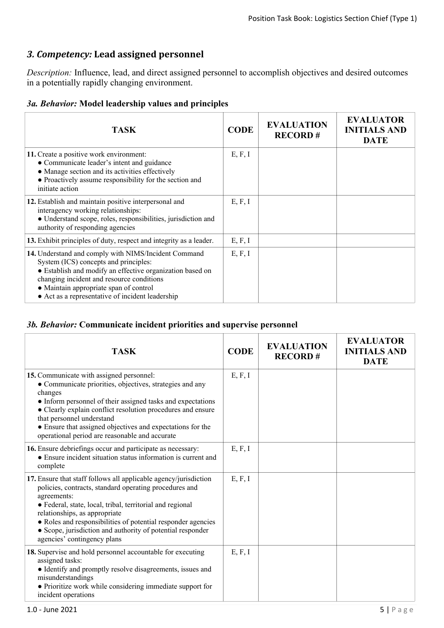## *3. Competency:* **Lead assigned personnel**

*Description:* Influence, lead, and direct assigned personnel to accomplish objectives and desired outcomes in a potentially rapidly changing environment.

#### *3a. Behavior:* **Model leadership values and principles**

| <b>TASK</b>                                                                                                                                                                                                                                                                                           | <b>CODE</b> | <b>EVALUATION</b><br><b>RECORD#</b> | <b>EVALUATOR</b><br><b>INITIALS AND</b><br><b>DATE</b> |
|-------------------------------------------------------------------------------------------------------------------------------------------------------------------------------------------------------------------------------------------------------------------------------------------------------|-------------|-------------------------------------|--------------------------------------------------------|
| 11. Create a positive work environment:<br>• Communicate leader's intent and guidance<br>• Manage section and its activities effectively<br>• Proactively assume responsibility for the section and<br>initiate action                                                                                | E, F, I     |                                     |                                                        |
| 12. Establish and maintain positive interpersonal and<br>interagency working relationships:<br>· Understand scope, roles, responsibilities, jurisdiction and<br>authority of responding agencies                                                                                                      | E, F, I     |                                     |                                                        |
| 13. Exhibit principles of duty, respect and integrity as a leader.                                                                                                                                                                                                                                    | E, F, I     |                                     |                                                        |
| 14. Understand and comply with NIMS/Incident Command<br>System (ICS) concepts and principles:<br>• Establish and modify an effective organization based on<br>changing incident and resource conditions<br>• Maintain appropriate span of control<br>• Act as a representative of incident leadership | E, F, I     |                                     |                                                        |

#### *3b. Behavior:* **Communicate incident priorities and supervise personnel**

| <b>TASK</b>                                                                                                                                                                                                                                                                                                                                                                                          | <b>CODE</b> | <b>EVALUATION</b><br><b>RECORD#</b> | <b>EVALUATOR</b><br><b>INITIALS AND</b><br><b>DATE</b> |
|------------------------------------------------------------------------------------------------------------------------------------------------------------------------------------------------------------------------------------------------------------------------------------------------------------------------------------------------------------------------------------------------------|-------------|-------------------------------------|--------------------------------------------------------|
| 15. Communicate with assigned personnel:<br>• Communicate priorities, objectives, strategies and any<br>changes<br>• Inform personnel of their assigned tasks and expectations<br>• Clearly explain conflict resolution procedures and ensure<br>that personnel understand<br>• Ensure that assigned objectives and expectations for the<br>operational period are reasonable and accurate           | E, F, I     |                                     |                                                        |
| 16. Ensure debriefings occur and participate as necessary:<br>• Ensure incident situation status information is current and<br>complete                                                                                                                                                                                                                                                              | E, F, I     |                                     |                                                        |
| 17. Ensure that staff follows all applicable agency/jurisdiction<br>policies, contracts, standard operating procedures and<br>agreements:<br>· Federal, state, local, tribal, territorial and regional<br>relationships, as appropriate<br>• Roles and responsibilities of potential responder agencies<br>• Scope, jurisdiction and authority of potential responder<br>agencies' contingency plans | E, F, I     |                                     |                                                        |
| 18. Supervise and hold personnel accountable for executing<br>assigned tasks:<br>• Identify and promptly resolve disagreements, issues and<br>misunderstandings<br>• Prioritize work while considering immediate support for<br>incident operations                                                                                                                                                  | E, F, I     |                                     |                                                        |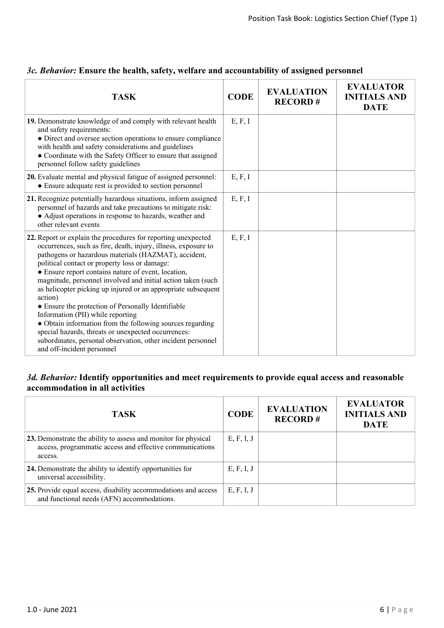| <b>TASK</b>                                                                                                                                                                                                                                                                                                                                                                                                                                                                                                                                                                                                                                                                                                                                              | <b>CODE</b> | <b>EVALUATION</b><br><b>RECORD#</b> | <b>EVALUATOR</b><br><b>INITIALS AND</b><br><b>DATE</b> |
|----------------------------------------------------------------------------------------------------------------------------------------------------------------------------------------------------------------------------------------------------------------------------------------------------------------------------------------------------------------------------------------------------------------------------------------------------------------------------------------------------------------------------------------------------------------------------------------------------------------------------------------------------------------------------------------------------------------------------------------------------------|-------------|-------------------------------------|--------------------------------------------------------|
| 19. Demonstrate knowledge of and comply with relevant health<br>and safety requirements:<br>• Direct and oversee section operations to ensure compliance<br>with health and safety considerations and guidelines<br>• Coordinate with the Safety Officer to ensure that assigned<br>personnel follow safety guidelines                                                                                                                                                                                                                                                                                                                                                                                                                                   | E, F, I     |                                     |                                                        |
| 20. Evaluate mental and physical fatigue of assigned personnel:<br>• Ensure adequate rest is provided to section personnel                                                                                                                                                                                                                                                                                                                                                                                                                                                                                                                                                                                                                               | E, F, I     |                                     |                                                        |
| 21. Recognize potentially hazardous situations, inform assigned<br>personnel of hazards and take precautions to mitigate risk:<br>• Adjust operations in response to hazards, weather and<br>other relevant events                                                                                                                                                                                                                                                                                                                                                                                                                                                                                                                                       | E, F, I     |                                     |                                                        |
| 22. Report or explain the procedures for reporting unexpected<br>occurrences, such as fire, death, injury, illness, exposure to<br>pathogens or hazardous materials (HAZMAT), accident,<br>political contact or property loss or damage:<br>• Ensure report contains nature of event, location,<br>magnitude, personnel involved and initial action taken (such<br>as helicopter picking up injured or an appropriate subsequent<br>action)<br>• Ensure the protection of Personally Identifiable<br>Information (PII) while reporting<br>• Obtain information from the following sources regarding<br>special hazards, threats or unexpected occurrences:<br>subordinates, personal observation, other incident personnel<br>and off-incident personnel | E, F, I     |                                     |                                                        |

## *3c. Behavior:* **Ensure the health, safety, welfare and accountability of assigned personnel**

## *3d. Behavior:* **Identify opportunities and meet requirements to provide equal access and reasonable accommodation in all activities**

| <b>TASK</b>                                                                                                                           | <b>CODE</b> | <b>EVALUATION</b><br><b>RECORD#</b> | <b>EVALUATOR</b><br><b>INITIALS AND</b><br><b>DATE</b> |
|---------------------------------------------------------------------------------------------------------------------------------------|-------------|-------------------------------------|--------------------------------------------------------|
| 23. Demonstrate the ability to assess and monitor for physical<br>access, programmatic access and effective communications<br>access. | E, F, I, J  |                                     |                                                        |
| 24. Demonstrate the ability to identify opportunities for<br>universal accessibility.                                                 | E, F, I, J  |                                     |                                                        |
| 25. Provide equal access, disability accommodations and access<br>and functional needs (AFN) accommodations.                          | E, F, I, J  |                                     |                                                        |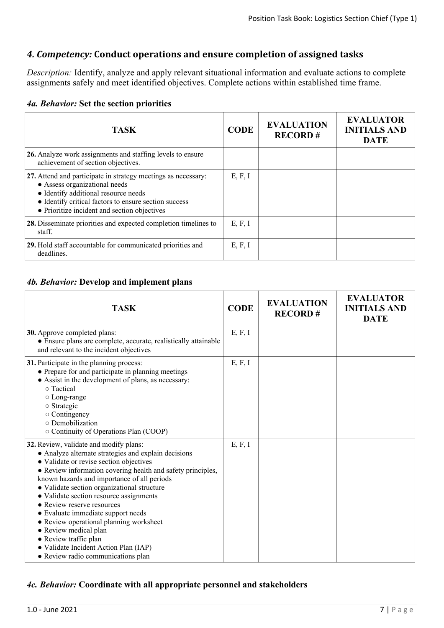## *4. Competency:* **Conduct operations and ensure completion of assigned tasks**

*Description:* Identify, analyze and apply relevant situational information and evaluate actions to complete assignments safely and meet identified objectives. Complete actions within established time frame.

|  | 4a. Behavior: Set the section priorities |  |  |  |  |
|--|------------------------------------------|--|--|--|--|
|--|------------------------------------------|--|--|--|--|

| <b>TASK</b>                                                                                                                                                                                                                                     | <b>CODE</b> | <b>EVALUATION</b><br><b>RECORD#</b> | <b>EVALUATOR</b><br><b>INITIALS AND</b><br><b>DATE</b> |
|-------------------------------------------------------------------------------------------------------------------------------------------------------------------------------------------------------------------------------------------------|-------------|-------------------------------------|--------------------------------------------------------|
| 26. Analyze work assignments and staffing levels to ensure<br>achievement of section objectives.                                                                                                                                                |             |                                     |                                                        |
| 27. Attend and participate in strategy meetings as necessary:<br>• Assess organizational needs<br>• Identify additional resource needs<br>• Identify critical factors to ensure section success<br>• Prioritize incident and section objectives | E, F, I     |                                     |                                                        |
| 28. Disseminate priorities and expected completion timelines to<br>staff.                                                                                                                                                                       | E, F, I     |                                     |                                                        |
| 29. Hold staff accountable for communicated priorities and<br>deadlines.                                                                                                                                                                        | E, F, I     |                                     |                                                        |

#### *4b. Behavior:* **Develop and implement plans**

| <b>TASK</b>                                                                                                                                                                                                                                                                                                                                                                                                                                                                                                                                                                                       | <b>CODE</b> | <b>EVALUATION</b><br><b>RECORD#</b> | <b>EVALUATOR</b><br><b>INITIALS AND</b><br><b>DATE</b> |
|---------------------------------------------------------------------------------------------------------------------------------------------------------------------------------------------------------------------------------------------------------------------------------------------------------------------------------------------------------------------------------------------------------------------------------------------------------------------------------------------------------------------------------------------------------------------------------------------------|-------------|-------------------------------------|--------------------------------------------------------|
| 30. Approve completed plans:<br>• Ensure plans are complete, accurate, realistically attainable<br>and relevant to the incident objectives                                                                                                                                                                                                                                                                                                                                                                                                                                                        | E, F, I     |                                     |                                                        |
| 31. Participate in the planning process:<br>• Prepare for and participate in planning meetings<br>• Assist in the development of plans, as necessary:<br>o Tactical<br>○ Long-range<br>$\circ$ Strategic<br>o Contingency<br>o Demobilization<br>○ Continuity of Operations Plan (COOP)                                                                                                                                                                                                                                                                                                           | E, F, I     |                                     |                                                        |
| 32. Review, validate and modify plans:<br>• Analyze alternate strategies and explain decisions<br>• Validate or revise section objectives<br>• Review information covering health and safety principles,<br>known hazards and importance of all periods<br>· Validate section organizational structure<br>· Validate section resource assignments<br>• Review reserve resources<br>• Evaluate immediate support needs<br>• Review operational planning worksheet<br>• Review medical plan<br>• Review traffic plan<br>· Validate Incident Action Plan (IAP)<br>• Review radio communications plan | E, F, I     |                                     |                                                        |

#### *4c. Behavior:* **Coordinate with all appropriate personnel and stakeholders**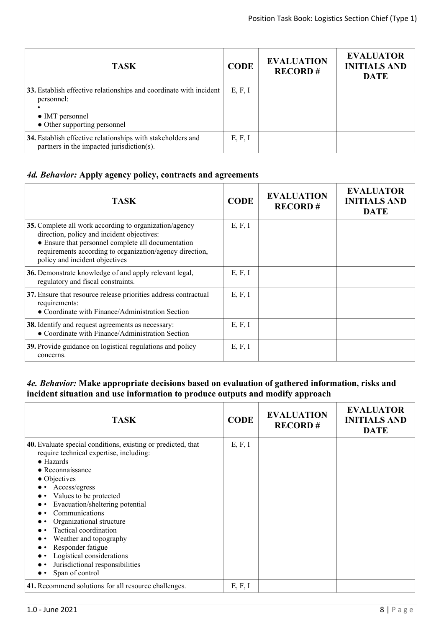| <b>TASK</b>                                                                                                                                 | <b>CODE</b> | <b>EVALUATION</b><br><b>RECORD#</b> | <b>EVALUATOR</b><br><b>INITIALS AND</b><br><b>DATE</b> |
|---------------------------------------------------------------------------------------------------------------------------------------------|-------------|-------------------------------------|--------------------------------------------------------|
| 33. Establish effective relationships and coordinate with incident<br>personnel:<br>$\bullet$ IMT personnel<br>• Other supporting personnel | E, F, I     |                                     |                                                        |
| 34. Establish effective relationships with stakeholders and<br>partners in the impacted jurisdiction(s).                                    | E, F, I     |                                     |                                                        |

### *4d. Behavior:* **Apply agency policy, contracts and agreements**

| <b>TASK</b>                                                                                                                                                                                                                                              | <b>CODE</b> | <b>EVALUATION</b><br><b>RECORD#</b> | <b>EVALUATOR</b><br><b>INITIALS AND</b><br><b>DATE</b> |
|----------------------------------------------------------------------------------------------------------------------------------------------------------------------------------------------------------------------------------------------------------|-------------|-------------------------------------|--------------------------------------------------------|
| 35. Complete all work according to organization/agency<br>direction, policy and incident objectives:<br>• Ensure that personnel complete all documentation<br>requirements according to organization/agency direction,<br>policy and incident objectives | E, F, I     |                                     |                                                        |
| 36. Demonstrate knowledge of and apply relevant legal,<br>regulatory and fiscal constraints.                                                                                                                                                             | E, F, I     |                                     |                                                        |
| 37. Ensure that resource release priorities address contractual<br>requirements:<br>• Coordinate with Finance/Administration Section                                                                                                                     | E, F, I     |                                     |                                                        |
| 38. Identify and request agreements as necessary:<br>• Coordinate with Finance/Administration Section                                                                                                                                                    | E, F, I     |                                     |                                                        |
| 39. Provide guidance on logistical regulations and policy<br>concerns.                                                                                                                                                                                   | E, F, I     |                                     |                                                        |

#### *4e. Behavior:* **Make appropriate decisions based on evaluation of gathered information, risks and incident situation and use information to produce outputs and modify approach**

| <b>TASK</b>                                                                                                                                                                                                                                                                                                                                                                                                                                                             | <b>CODE</b> | <b>EVALUATION</b><br><b>RECORD#</b> | <b>EVALUATOR</b><br><b>INITIALS AND</b><br><b>DATE</b> |
|-------------------------------------------------------------------------------------------------------------------------------------------------------------------------------------------------------------------------------------------------------------------------------------------------------------------------------------------------------------------------------------------------------------------------------------------------------------------------|-------------|-------------------------------------|--------------------------------------------------------|
| 40. Evaluate special conditions, existing or predicted, that<br>require technical expertise, including:<br>$\bullet$ Hazards<br>$\bullet$ Reconnaissance<br>$\bullet$ Objectives<br>Access/egress<br>Values to be protected<br>Evacuation/sheltering potential<br>Communications<br>Organizational structure<br>Tactical coordination<br>Weather and topography<br>Responder fatigue<br>Logistical considerations<br>Jurisdictional responsibilities<br>Span of control | E, F, I     |                                     |                                                        |
| 41. Recommend solutions for all resource challenges.                                                                                                                                                                                                                                                                                                                                                                                                                    | E, F, I     |                                     |                                                        |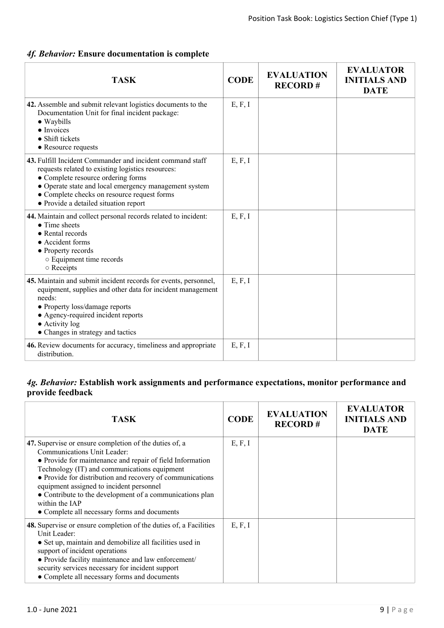#### *4f. Behavior:* **Ensure documentation is complete**

| <b>TASK</b>                                                                                                                                                                                                                                                                                           | <b>CODE</b> | <b>EVALUATION</b><br><b>RECORD#</b> | <b>EVALUATOR</b><br><b>INITIALS AND</b><br><b>DATE</b> |
|-------------------------------------------------------------------------------------------------------------------------------------------------------------------------------------------------------------------------------------------------------------------------------------------------------|-------------|-------------------------------------|--------------------------------------------------------|
| 42. Assemble and submit relevant logistics documents to the<br>Documentation Unit for final incident package:<br>$\bullet$ Waybills<br>• Invoices<br>• Shift tickets<br>• Resource requests                                                                                                           | E, F, I     |                                     |                                                        |
| 43. Fulfill Incident Commander and incident command staff<br>requests related to existing logistics resources:<br>• Complete resource ordering forms<br>• Operate state and local emergency management system<br>• Complete checks on resource request forms<br>• Provide a detailed situation report | E, F, I     |                                     |                                                        |
| 44. Maintain and collect personal records related to incident:<br>$\bullet$ Time sheets<br>• Rental records<br>• Accident forms<br>• Property records<br><b>O</b> Equipment time records<br>o Receipts                                                                                                | E, F, I     |                                     |                                                        |
| 45. Maintain and submit incident records for events, personnel,<br>equipment, supplies and other data for incident management<br>needs:<br>• Property loss/damage reports<br>• Agency-required incident reports<br>• Activity log<br>• Changes in strategy and tactics                                | E, F, I     |                                     |                                                        |
| 46. Review documents for accuracy, timeliness and appropriate<br>distribution.                                                                                                                                                                                                                        | E, F, I     |                                     |                                                        |

#### *4g. Behavior:* **Establish work assignments and performance expectations, monitor performance and provide feedback**

| <b>TASK</b>                                                                                                                                                                                                                                                                                                                                                                                                                               | <b>CODE</b> | <b>EVALUATION</b><br><b>RECORD#</b> | <b>EVALUATOR</b><br><b>INITIALS AND</b><br><b>DATE</b> |
|-------------------------------------------------------------------------------------------------------------------------------------------------------------------------------------------------------------------------------------------------------------------------------------------------------------------------------------------------------------------------------------------------------------------------------------------|-------------|-------------------------------------|--------------------------------------------------------|
| 47. Supervise or ensure completion of the duties of, a<br>Communications Unit Leader:<br>• Provide for maintenance and repair of field Information<br>Technology (IT) and communications equipment<br>• Provide for distribution and recovery of communications<br>equipment assigned to incident personnel<br>• Contribute to the development of a communications plan<br>within the IAP<br>• Complete all necessary forms and documents | E, F, I     |                                     |                                                        |
| <b>48.</b> Supervise or ensure completion of the duties of, a Facilities<br>Unit Leader:<br>• Set up, maintain and demobilize all facilities used in<br>support of incident operations<br>• Provide facility maintenance and law enforcement/<br>security services necessary for incident support<br>• Complete all necessary forms and documents                                                                                         | E, F, I     |                                     |                                                        |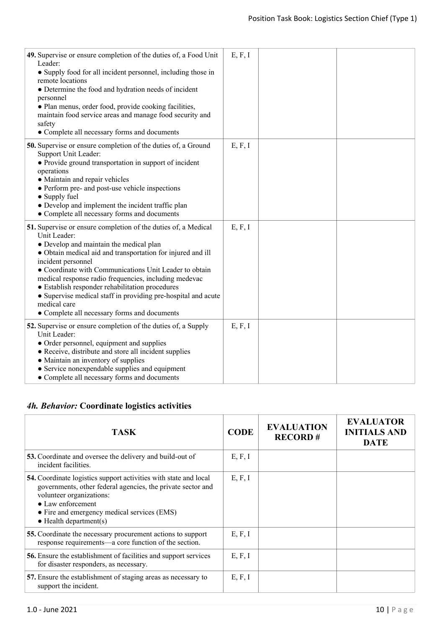| 49. Supervise or ensure completion of the duties of, a Food Unit<br>Leader:<br>• Supply food for all incident personnel, including those in<br>remote locations<br>• Determine the food and hydration needs of incident<br>personnel<br>· Plan menus, order food, provide cooking facilities,<br>maintain food service areas and manage food security and<br>safety<br>• Complete all necessary forms and documents                                                                                                   | E, F, I |  |
|-----------------------------------------------------------------------------------------------------------------------------------------------------------------------------------------------------------------------------------------------------------------------------------------------------------------------------------------------------------------------------------------------------------------------------------------------------------------------------------------------------------------------|---------|--|
| <b>50.</b> Supervise or ensure completion of the duties of, a Ground<br>Support Unit Leader:<br>• Provide ground transportation in support of incident<br>operations<br>• Maintain and repair vehicles<br>• Perform pre- and post-use vehicle inspections<br>• Supply fuel<br>• Develop and implement the incident traffic plan<br>• Complete all necessary forms and documents                                                                                                                                       | E, F, I |  |
| 51. Supervise or ensure completion of the duties of, a Medical<br>Unit Leader:<br>• Develop and maintain the medical plan<br>• Obtain medical aid and transportation for injured and ill<br>incident personnel<br>• Coordinate with Communications Unit Leader to obtain<br>medical response radio frequencies, including medevac<br>• Establish responder rehabilitation procedures<br>• Supervise medical staff in providing pre-hospital and acute<br>medical care<br>• Complete all necessary forms and documents | E, F, I |  |
| 52. Supervise or ensure completion of the duties of, a Supply<br>Unit Leader:<br>• Order personnel, equipment and supplies<br>• Receive, distribute and store all incident supplies<br>• Maintain an inventory of supplies<br>• Service nonexpendable supplies and equipment<br>• Complete all necessary forms and documents                                                                                                                                                                                          | E, F, I |  |

# *4h. Behavior:* **Coordinate logistics activities**

| TASK                                                                                                                                                                                                                                                                      | <b>CODE</b> | <b>EVALUATION</b><br><b>RECORD#</b> | <b>EVALUATOR</b><br><b>INITIALS AND</b><br><b>DATE</b> |
|---------------------------------------------------------------------------------------------------------------------------------------------------------------------------------------------------------------------------------------------------------------------------|-------------|-------------------------------------|--------------------------------------------------------|
| <b>53.</b> Coordinate and oversee the delivery and build-out of<br>incident facilities.                                                                                                                                                                                   | E, F, I     |                                     |                                                        |
| 54. Coordinate logistics support activities with state and local<br>governments, other federal agencies, the private sector and<br>volunteer organizations:<br>$\bullet$ Law enforcement<br>• Fire and emergency medical services (EMS)<br>$\bullet$ Health department(s) | E, F, I     |                                     |                                                        |
| 55. Coordinate the necessary procurement actions to support<br>response requirements—a core function of the section.                                                                                                                                                      | E, F, I     |                                     |                                                        |
| <b>56.</b> Ensure the establishment of facilities and support services<br>for disaster responders, as necessary.                                                                                                                                                          | E, F, I     |                                     |                                                        |
| 57. Ensure the establishment of staging areas as necessary to<br>support the incident.                                                                                                                                                                                    | E, F, I     |                                     |                                                        |